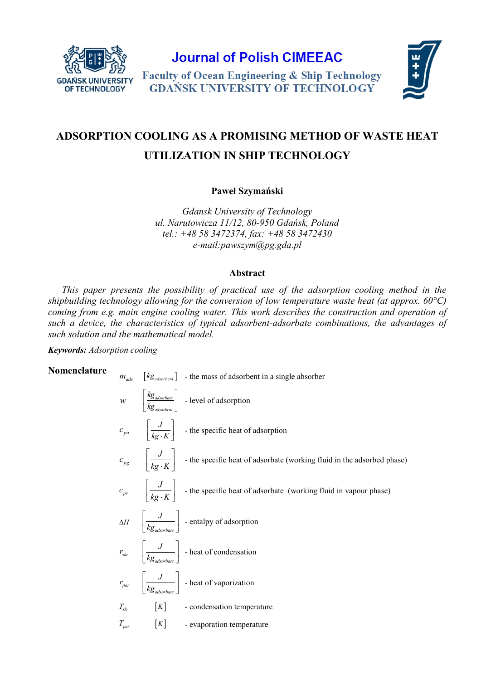

**Journal of Polish CIMEEAC** 

**Faculty of Ocean Engineering & Ship Technology GDAŃSK UNIVERSITY OF TECHNOLOGY** 



# **ADSORPTION COOLING AS A PROMISING METHOD OF WASTE HEAT UTILIZATION IN SHIP TECHNOLOGY**

**Paweł Szymański**

*Gdansk University of Technology ul. Narutowicza 11/12, 80-950 Gdańsk, Poland tel.: +48 58 3472374, fax: +48 58 3472430 e-mail:pawszy[m@pg.gda.pl](mailto:jacekrud@pg.gda.pl)*

## **Abstract**

*This paper presents the possibility of practical use of the adsorption cooling method in the shipbuilding technology allowing for the conversion of low temperature waste heat (at approx. 60°C) coming from e.g. main engine cooling water. This work describes the construction and operation of such a device, the characteristics of typical adsorbent-adsorbate combinations, the advantages of such solution and the mathematical model.*

*Keywords: Adsorption cooling*

**Nomenclature**  
\n
$$
m_{ads}
$$
  $\left[kg_{adsorbeut}\right]$  - the mass of adsorbent in a single absorber  
\n $w$   $\left[\frac{kg_{adsorbeut}}{kg_{adsorbeut}}\right]$  - level of adsorption  
\n $c_{pa}$   $\left[\frac{J}{kg \cdot K}\right]$  - the specific heat of adsorption  
\n $c_{pg}$   $\left[\frac{J}{kg \cdot K}\right]$  - the specific heat of adsorbate (working fluid in the adsorbed phase)  
\n $c_{pv}$   $\left[\frac{J}{kg \cdot K}\right]$  - the specific heat of adsorbate (working fluid in vapour phase)  
\n $\Delta H$   $\left[\frac{J}{kg_{adsorbate}}\right]$  -entalpy of adsorption  
\n $r_{skr}$   $\left[\frac{J}{kg_{adsorbate}}\right]$  - heat of condensation  
\n $r_{par}$   $\left[\frac{J}{kg_{adsorbate}}\right]$  - heat of vaporization  
\n $T_{skr}$   $\left[\frac{J}{kg_{adsorbate}}\right]$  - heat of vaporization  
\n $T_{skr}$   $\left[K\right]$  - condensation temperature  
\n $T_{par}$   $\left[K\right]$  - evaporation temperature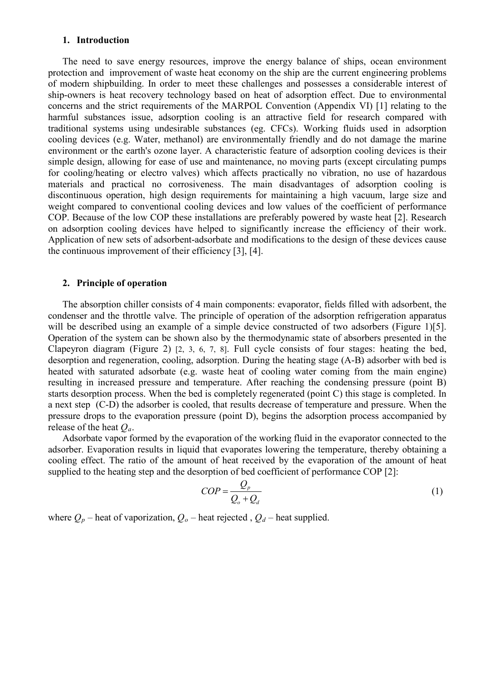## **1. Introduction**

The need to save energy resources, improve the energy balance of ships, ocean environment protection and improvement of waste heat economy on the ship are the current engineering problems of modern shipbuilding. In order to meet these challenges and possesses a considerable interest of ship-owners is heat recovery technology based on heat of adsorption effect. Due to environmental concerns and the strict requirements of the MARPOL Convention (Appendix VI) [1] relating to the harmful substances issue, adsorption cooling is an attractive field for research compared with traditional systems using undesirable substances (eg. CFCs). Working fluids used in adsorption cooling devices (e.g. Water, methanol) are environmentally friendly and do not damage the marine environment or the earth's ozone layer. A characteristic feature of adsorption cooling devices is their simple design, allowing for ease of use and maintenance, no moving parts (except circulating pumps for cooling/heating or electro valves) which affects practically no vibration, no use of hazardous materials and practical no corrosiveness. The main disadvantages of adsorption cooling is discontinuous operation, high design requirements for maintaining a high vacuum, large size and weight compared to conventional cooling devices and low values of the coefficient of performance COP. Because of the low COP these installations are preferably powered by waste heat [2]. Research on adsorption cooling devices have helped to significantly increase the efficiency of their work. Application of new sets of adsorbent-adsorbate and modifications to the design of these devices cause the continuous improvement of their efficiency [3], [4].

#### **2. Principle of operation**

The absorption chiller consists of 4 main components: evaporator, fields filled with adsorbent, the condenser and the throttle valve. The principle of operation of the adsorption refrigeration apparatus will be described using an example of a simple device constructed of two adsorbers (Figure 1)[5]. Operation of the system can be shown also by the thermodynamic state of absorbers presented in the Clapeyron diagram (Figure 2) [2, 3, 6, 7, 8]. Full cycle consists of four stages: heating the bed, desorption and regeneration, cooling, adsorption. During the heating stage (A-B) adsorber with bed is heated with saturated adsorbate (e.g. waste heat of cooling water coming from the main engine) resulting in increased pressure and temperature. After reaching the condensing pressure (point B) starts desorption process. When the bed is completely regenerated (point C) this stage is completed. In a next step (C-D) the adsorber is cooled, that results decrease of temperature and pressure. When the pressure drops to the evaporation pressure (point D), begins the adsorption process accompanied by release of the heat *Qa*.

Adsorbate vapor formed by the evaporation of the working fluid in the evaporator connected to the adsorber. Evaporation results in liquid that evaporates lowering the temperature, thereby obtaining a cooling effect. The ratio of the amount of heat received by the evaporation of the amount of heat supplied to the heating step and the desorption of bed coefficient of performance COP [2]:

$$
COP = \frac{Q_p}{Q_o + Q_d} \tag{1}
$$

where  $Q_p$  – heat of vaporization,  $Q_o$  – heat rejected,  $Q_d$  – heat supplied.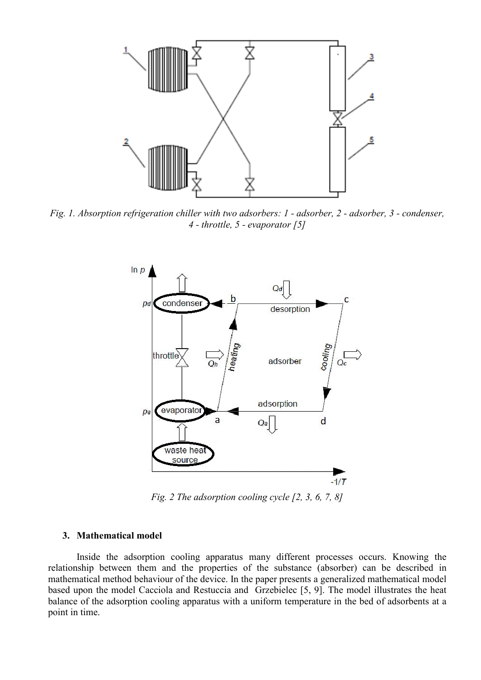

*Fig. 1. Absorption refrigeration chiller with two adsorbers: 1 - adsorber, 2 - adsorber, 3 - condenser, 4 - throttle, 5 - evaporator [5]*



*Fig. 2 The adsorption cooling cycle [2, 3, 6, 7, 8]*

## **3. Mathematical model**

Inside the adsorption cooling apparatus many different processes occurs. Knowing the relationship between them and the properties of the substance (absorber) can be described in mathematical method behaviour of the device. In the paper presents a generalized mathematical model based upon the model Cacciola and Restuccia and Grzebielec [5, 9]. The model illustrates the heat balance of the adsorption cooling apparatus with a uniform temperature in the bed of adsorbents at a point in time.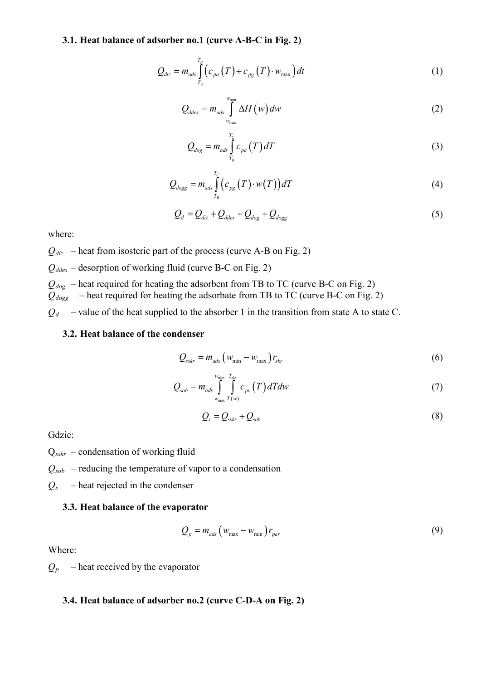#### **3.1. Heat balance of adsorber no.1 (curve A-B-C in Fig. 2)**

$$
Q_{diz} = m_{ads} \int_{T_A}^{T_B} \left( c_{pa} (T) + c_{pg} (T) \cdot w_{\text{max}} \right) dt \tag{1}
$$

$$
Q_{ddes} = m_{ads} \int_{w_{max}}^{w_{min}} \Delta H(w) dw
$$
 (2)

$$
Q_{\text{dog}} = m_{\text{ads}} \int_{T_B}^{T_C} c_{\text{pa}}(T) dT \tag{3}
$$

$$
Q_{\text{dogg}} = m_{\text{ads}} \int_{T_B}^{T_C} \left( c_{\text{pg}} \left( T \right) \cdot w(T) \right) dT \tag{4}
$$

$$
Q_d = Q_{diz} + Q_{ddes} + Q_{dog} + Q_{dogg}
$$
\n
$$
\tag{5}
$$

where:

 $Q_{diz}$  – heat from isosteric part of the process (curve A-B on Fig. 2)

 $Q_{ddes}$  – desorption of working fluid (curve B-C on Fig. 2)

 $Q_{dog}$  – heat required for heating the adsorbent from TB to TC (curve B-C on Fig. 2)  $Q_{dog}$  – heat required for heating the adsorbate from TB to TC (curve B-C on Fig. 2)

 $Q_d$  – value of the heat supplied to the absorber 1 in the transition from state A to state C.

#### **3.2. Heat balance of the condenser**

$$
Q_{sskr} = m_{ads} \left( w_{\min} - w_{\max} \right) r_{skr}
$$
 (6)

$$
Q_{sob} = m_{ads} \int_{w_{\text{max}}}^{w_{\text{min}}} \int_{T(w)}^{T_{skr}} c_{pv}(T) dT dw
$$
 (7)

$$
Q_s = Q_{sskr} + Q_{sob} \tag{8}
$$

Gdzie:

Q*sskr* – condensation of working fluid

 $Q_{sob}$  – reducing the temperature of vapor to a condensation

*Qs* – heat rejected in the condenser

#### **3.3. Heat balance of the evaporator**

$$
Q_p = m_{ads} \left( w_{\text{max}} - w_{\text{min}} \right) r_{par} \tag{9}
$$

Where:

 $Q_p$  – heat received by the evaporator

#### **3.4. Heat balance of adsorber no.2 (curve C-D-A on Fig. 2)**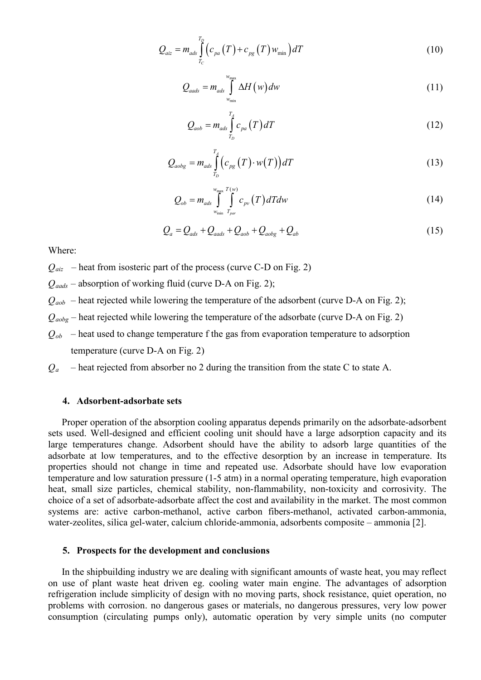$$
Q_{aiz} = m_{ads} \int_{T_C}^{T_D} \left( c_{pa} \left( T \right) + c_{pg} \left( T \right) w_{\min} \right) dT \tag{10}
$$

$$
Q_{aads} = m_{ads} \int_{w_{min}}^{w_{max}} \Delta H(w) dw
$$
 (11)

$$
Q_{aob} = m_{ads} \int_{T_D}^{T_A} c_{pa} (T) dT \qquad (12)
$$

$$
Q_{aobs} = m_{ads} \int_{T_D}^{T_A} \left( c_{pg} \left( T \right) \cdot w(T) \right) dT \tag{13}
$$

$$
Q_{ob} = m_{ads} \int_{w_{min}}^{w_{max}} \int_{\Gamma_{par}}^{T(w)} c_{pv} (T) dT dw
$$
 (14)

$$
Q_a = Q_{ads} + Q_{aads} + Q_{aob} + Q_{aobs} + Q_{ab}
$$
\n(15)

Where:

 $Q_{\text{aiz}}$  – heat from isosteric part of the process (curve C-D on Fig. 2)

*Qaads* – absorption of working fluid (curve D-A on Fig. 2);

 $Q_{aob}$  – heat rejected while lowering the temperature of the adsorbent (curve D-A on Fig. 2);

- $Q_{aobj}$  heat rejected while lowering the temperature of the adsorbate (curve D-A on Fig. 2)
- $Q_{ob}$  heat used to change temperature f the gas from evaporation temperature to adsorption temperature (curve D-A on Fig. 2)
- $Q_a$  heat rejected from absorber no 2 during the transition from the state C to state A.

#### **4. Adsorbent-adsorbate sets**

Proper operation of the absorption cooling apparatus depends primarily on the adsorbate-adsorbent sets used. Well-designed and efficient cooling unit should have a large adsorption capacity and its large temperatures change. Adsorbent should have the ability to adsorb large quantities of the adsorbate at low temperatures, and to the effective desorption by an increase in temperature. Its properties should not change in time and repeated use. Adsorbate should have low evaporation temperature and low saturation pressure (1-5 atm) in a normal operating temperature, high evaporation heat, small size particles, chemical stability, non-flammability, non-toxicity and corrosivity. The choice of a set of adsorbate-adsorbate affect the cost and availability in the market. The most common systems are: active carbon-methanol, active carbon fibers-methanol, activated carbon-ammonia, water-zeolites, silica gel-water, calcium chloride-ammonia, adsorbents composite – ammonia [2].

#### **5. Prospects for the development and conclusions**

In the shipbuilding industry we are dealing with significant amounts of waste heat, you may reflect on use of plant waste heat driven eg. cooling water main engine. The advantages of adsorption refrigeration include simplicity of design with no moving parts, shock resistance, quiet operation, no problems with corrosion. no dangerous gases or materials, no dangerous pressures, very low power consumption (circulating pumps only), automatic operation by very simple units (no computer